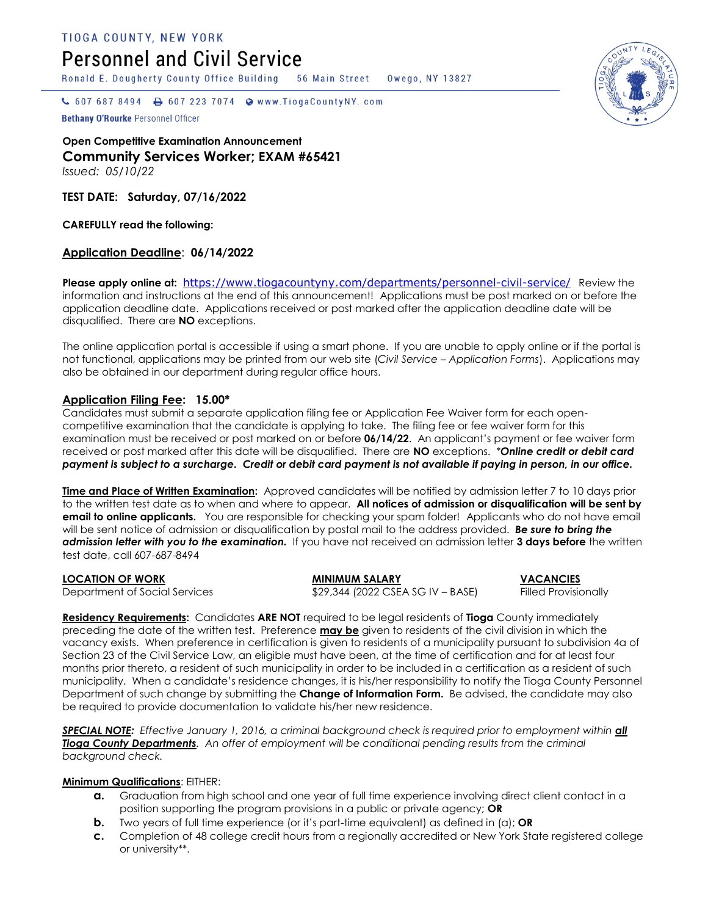**TIOGA COUNTY, NEW YORK** 

# **Personnel and Civil Service**

Ronald E. Dougherty County Office Building

**56 Main Street** Owego, NY 13827

 $\bullet$  607 687 8494  $\bullet$  607 223 7074  $\bullet$  www.TiogaCountyNY.com

Bethany O'Rourke Personnel Officer

**Open Competitive Examination Announcement Community Services Worker; EXAM #65421** *Issued: 05/10/22*

**TEST DATE: Saturday, 07/16/2022**

**CAREFULLY read the following:**

# **Application Deadline**: **06/14/2022**

Please apply online at: [https://www.tiogacountyny.com/departments/personnel-civil-service/](https://u2769118.ct.sendgrid.net/wf/click?upn=uYMm-2FEoLyqOdZS3CMRUeSFGihkD-2BiXtKNApljFoqh37xE-2FNreP0IuuAewtQfdueSW-2BpZy-2BfUjR-2FVCpwM9UdVnfnA2TICkwcwxjX32sKOAcA-3D_RHlXTVCoP695cOfBMAOclRzrqvDLoKyOL-2FTu445atF7ZnzqGbq1-2FxcU2Ex3YOQ0i2bCQ68DOHw3Rjlxl9EWGS1-2FyJeJd0d0p9osBuaiWLdell4jO3-2FwPyLBPcZkZNpVzP83dxTny-2BvDQ3gZ6fMUyCmrf4jYRNo-2FITDTXG93CfxJWnZWTVhtmLOAzAcqCH968glVJmNl28m5M6FLLUSvm2m4vacNNvHVvBK7hf0OXq-2Bs-3D) Review the information and instructions at the end of this announcement! Applications must be post marked on or before the application deadline date. Applications received or post marked after the application deadline date will be disqualified. There are **NO** exceptions.

The online application portal is accessible if using a smart phone. If you are unable to apply online or if the portal is not functional, applications may be printed from our web site (*Civil Service – Application Forms*). Applications may also be obtained in our department during regular office hours.

# **Application Filing Fee: 15.00\***

Candidates must submit a separate application filing fee or Application Fee Waiver form for each opencompetitive examination that the candidate is applying to take. The filing fee or fee waiver form for this examination must be received or post marked on or before **06/14/22**. An applicant's payment or fee waiver form received or post marked after this date will be disqualified. There are **NO** exceptions. *\*Online credit or debit card payment is subject to a surcharge. Credit or debit card payment is not available if paying in person, in our office.*

**Time and Place of Written Examination:** Approved candidates will be notified by admission letter 7 to 10 days prior to the written test date as to when and where to appear. **All notices of admission or disqualification will be sent by email to online applicants.** You are responsible for checking your spam folder!Applicants who do not have email will be sent notice of admission or disqualification by postal mail to the address provided. *Be sure to bring the admission letter with you to the examination.* If you have not received an admission letter **3 days before** the written test date, call 607-687-8494

**LOCATION OF WORK MINIMUM SALARY VACANCIES** Department of Social Services \$29,344 (2022 CSEA SG IV – BASE) Filled Provisionally

**Residency Requirements:** Candidates **ARE NOT** required to be legal residents of **Tioga** County immediately preceding the date of the written test. Preference **may be** given to residents of the civil division in which the vacancy exists. When preference in certification is given to residents of a municipality pursuant to subdivision 4a of Section 23 of the Civil Service Law, an eligible must have been, at the time of certification and for at least four months prior thereto, a resident of such municipality in order to be included in a certification as a resident of such municipality. When a candidate's residence changes, it is his/her responsibility to notify the Tioga County Personnel Department of such change by submitting the **Change of Information Form.** Be advised, the candidate may also be required to provide documentation to validate his/her new residence.

**SPECIAL NOTE:** *Effective January 1, 2016, a criminal background check is required prior to employment within <i>all Tioga County Departments. An offer of employment will be conditional pending results from the criminal background check.* 

### **Minimum Qualifications**: EITHER:

- **a.** Graduation from high school and one year of full time experience involving direct client contact in a position supporting the program provisions in a public or private agency; **OR**
- **b.** Two years of full time experience (or it's part-time equivalent) as defined in (a); **OR**
- **c.** Completion of 48 college credit hours from a regionally accredited or New York State registered college or university\*\*.

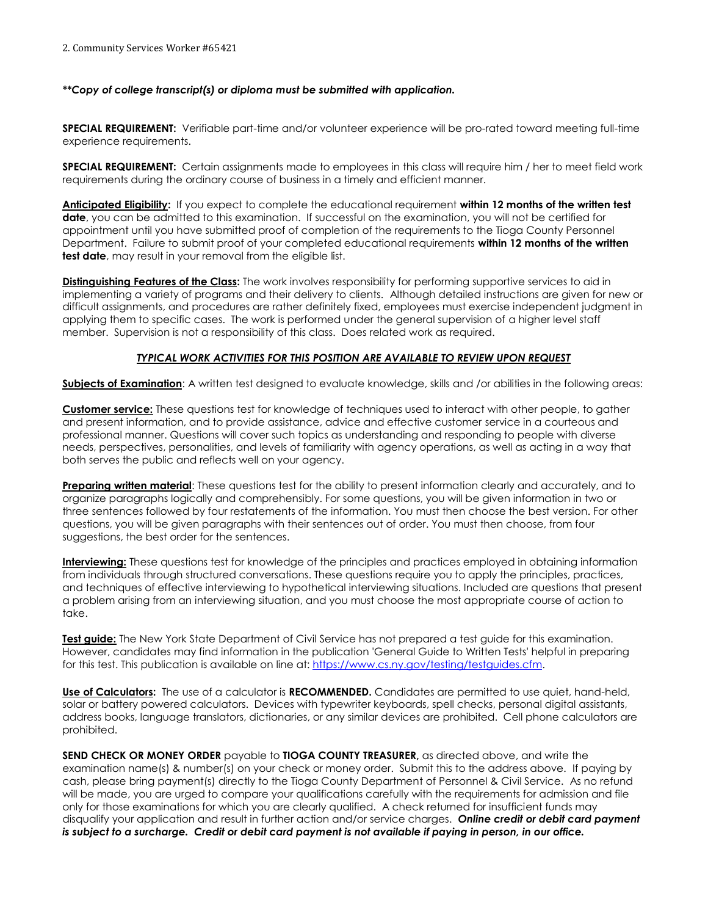2. Community Services Worker #65421

#### *\*\*Copy of college transcript(s) or diploma must be submitted with application.*

**SPECIAL REQUIREMENT:** Verifiable part-time and/or volunteer experience will be pro-rated toward meeting full-time experience requirements.

**SPECIAL REQUIREMENT:** Certain assignments made to employees in this class will require him / her to meet field work requirements during the ordinary course of business in a timely and efficient manner.

**Anticipated Eligibility:** If you expect to complete the educational requirement **within 12 months of the written test date**, you can be admitted to this examination. If successful on the examination, you will not be certified for appointment until you have submitted proof of completion of the requirements to the Tioga County Personnel Department. Failure to submit proof of your completed educational requirements **within 12 months of the written test date**, may result in your removal from the eligible list.

**Distinguishing Features of the Class:** The work involves responsibility for performing supportive services to aid in implementing a variety of programs and their delivery to clients. Although detailed instructions are given for new or difficult assignments, and procedures are rather definitely fixed, employees must exercise independent judgment in applying them to specific cases. The work is performed under the general supervision of a higher level staff member. Supervision is not a responsibility of this class. Does related work as required.

# *TYPICAL WORK ACTIVITIES FOR THIS POSITION ARE AVAILABLE TO REVIEW UPON REQUEST*

**Subjects of Examination**: A written test designed to evaluate knowledge, skills and /or abilities in the following areas:

**Customer service:** These questions test for knowledge of techniques used to interact with other people, to gather and present information, and to provide assistance, advice and effective customer service in a courteous and professional manner. Questions will cover such topics as understanding and responding to people with diverse needs, perspectives, personalities, and levels of familiarity with agency operations, as well as acting in a way that both serves the public and reflects well on your agency.

**Preparing written material:** These questions test for the ability to present information clearly and accurately, and to organize paragraphs logically and comprehensibly. For some questions, you will be given information in two or three sentences followed by four restatements of the information. You must then choose the best version. For other questions, you will be given paragraphs with their sentences out of order. You must then choose, from four suggestions, the best order for the sentences.

**Interviewing:** These questions test for knowledge of the principles and practices employed in obtaining information from individuals through structured conversations. These questions require you to apply the principles, practices, and techniques of effective interviewing to hypothetical interviewing situations. Included are questions that present a problem arising from an interviewing situation, and you must choose the most appropriate course of action to take.

**Test guide:** The New York State Department of Civil Service has not prepared a test guide for this examination. However, candidates may find information in the publication 'General Guide to Written Tests' helpful in preparing for this test. This publication is available on line at: [https://www.cs.ny.gov/testing/testguides.cfm.](https://www.cs.ny.gov/testing/testguides.cfm)

**Use of Calculators:** The use of a calculator is **RECOMMENDED.** Candidates are permitted to use quiet, hand-held, solar or battery powered calculators. Devices with typewriter keyboards, spell checks, personal digital assistants, address books, language translators, dictionaries, or any similar devices are prohibited. Cell phone calculators are prohibited.

**SEND CHECK OR MONEY ORDER** payable to **TIOGA COUNTY TREASURER,** as directed above, and write the examination name(s) & number(s) on your check or money order. Submit this to the address above. If paying by cash, please bring payment(s) directly to the Tioga County Department of Personnel & Civil Service. As no refund will be made, you are urged to compare your qualifications carefully with the requirements for admission and file only for those examinations for which you are clearly qualified. A check returned for insufficient funds may disqualify your application and result in further action and/or service charges. *Online credit or debit card payment is subject to a surcharge. Credit or debit card payment is not available if paying in person, in our office.*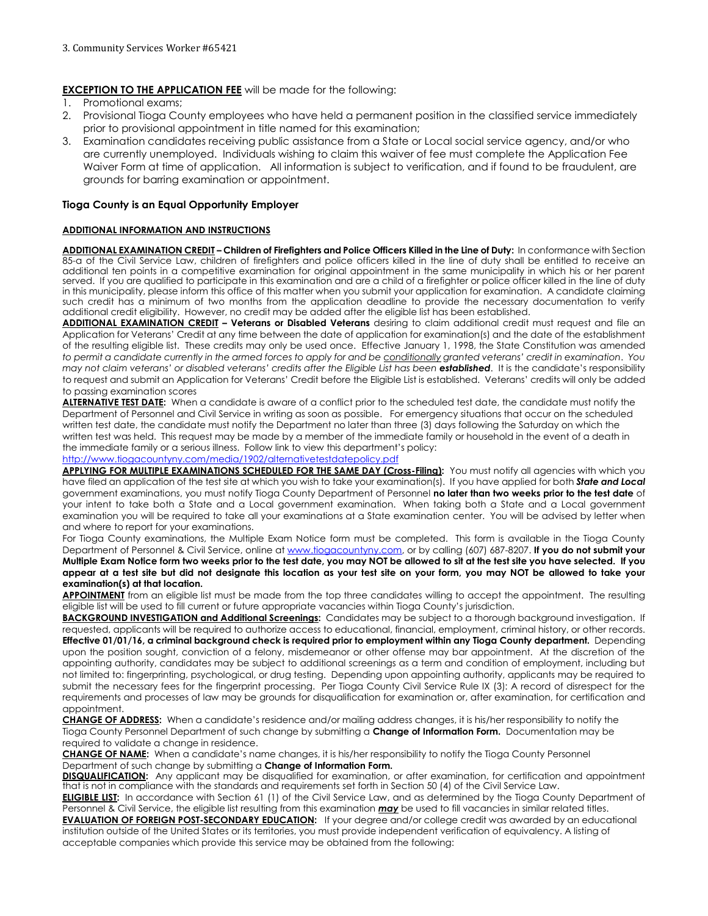### **EXCEPTION TO THE APPLICATION FEE** will be made for the following:

- 1. Promotional exams;
- 2. Provisional Tioga County employees who have held a permanent position in the classified service immediately prior to provisional appointment in title named for this examination;
- 3. Examination candidates receiving public assistance from a State or Local social service agency, and/or who are currently unemployed. Individuals wishing to claim this waiver of fee must complete the Application Fee Waiver Form at time of application. All information is subject to verification, and if found to be fraudulent, are grounds for barring examination or appointment.

#### **Tioga County is an Equal Opportunity Employer**

#### **ADDITIONAL INFORMATION AND INSTRUCTIONS**

**ADDITIONAL EXAMINATION CREDIT – Children of Firefighters and Police Officers Killed in the Line of Duty:** In conformance with Section 85-a of the Civil Service Law, children of firefighters and police officers killed in the line of duty shall be entitled to receive an additional ten points in a competitive examination for original appointment in the same municipality in which his or her parent served. If you are qualified to participate in this examination and are a child of a firefighter or police officer killed in the line of duty in this municipality, please inform this office of this matter when you submit your application for examination. A candidate claiming such credit has a minimum of two months from the application deadline to provide the necessary documentation to verify additional credit eligibility. However, no credit may be added after the eligible list has been established.

**ADDITIONAL EXAMINATION CREDIT – Veterans or Disabled Veterans** desiring to claim additional credit must request and file an Application for Veterans' Credit at any time between the date of application for examination(s) and the date of the establishment of the resulting eligible list. These credits may only be used once. Effective January 1, 1998, the State Constitution was amended *to permit a candidate currently in the armed forces to apply for and be conditionally granted veterans' credit in examination*. *You may not claim veterans' or disabled veterans' credits after the Eligible List has been established*. It is the candidate's responsibility to request and submit an Application for Veterans' Credit before the Eligible List is established. Veterans' credits will only be added to passing examination scores

**ALTERNATIVE TEST DATE:** When a candidate is aware of a conflict prior to the scheduled test date, the candidate must notify the Department of Personnel and Civil Service in writing as soon as possible. For emergency situations that occur on the scheduled written test date, the candidate must notify the Department no later than three (3) days following the Saturday on which the written test was held. This request may be made by a member of the immediate family or household in the event of a death in the immediate family or a serious illness. Follow link to view this department's policy:

<http://www.tiogacountyny.com/media/1902/alternativetestdatepolicy.pdf>

APPLYING FOR MULTIPLE EXAMINATIONS SCHEDULED FOR THE SAME DAY (Cross-Filing): You must notify all agencies with which you have filed an application of the test site at which you wish to take your examination(s). If you have applied for both *State and Local* government examinations, you must notify Tioga County Department of Personnel **no later than two weeks prior to the test date** of your intent to take both a State and a Local government examination. When taking both a State and a Local government examination you will be required to take all your examinations at a State examination center. You will be advised by letter when and where to report for your examinations.

For Tioga County examinations, the Multiple Exam Notice form must be completed. This form is available in the Tioga County Department of Personnel & Civil Service, online a[t www.tiogacountyny.com,](http://www.tiogacountyny.com/) or by calling (607) 687-8207. **If you do not submit your Multiple Exam Notice form two weeks prior to the test date, you may NOT be allowed to sit at the test site you have selected. If you appear at a test site but did not designate this location as your test site on your form, you may NOT be allowed to take your examination(s) at that location.**

**APPOINTMENT** from an eligible list must be made from the top three candidates willing to accept the appointment. The resulting eligible list will be used to fill current or future appropriate vacancies within Tioga County's jurisdiction.

**BACKGROUND INVESTIGATION and Additional Screenings:** Candidates may be subject to a thorough background investigation. If requested, applicants will be required to authorize access to educational, financial, employment, criminal history, or other records. **Effective 01/01/16, a criminal background check is required prior to employment within any Tioga County department.** Depending upon the position sought, conviction of a felony, misdemeanor or other offense may bar appointment. At the discretion of the appointing authority, candidates may be subject to additional screenings as a term and condition of employment, including but not limited to: fingerprinting, psychological, or drug testing. Depending upon appointing authority, applicants may be required to submit the necessary fees for the fingerprint processing. Per Tioga County Civil Service Rule IX (3): A record of disrespect for the requirements and processes of law may be grounds for disqualification for examination or, after examination, for certification and appointment.

**CHANGE OF ADDRESS:** When a candidate's residence and/or mailing address changes, it is his/her responsibility to notify the Tioga County Personnel Department of such change by submitting a **Change of Information Form.** Documentation may be required to validate a change in residence.

**CHANGE OF NAME:** When a candidate's name changes, it is his/her responsibility to notify the Tioga County Personnel Department of such change by submitting a **Change of Information Form.** 

**DISQUALIFICATION:** Any applicant may be disqualified for examination, or after examination, for certification and appointment that is not in compliance with the standards and requirements set forth in Section 50 (4) of the Civil Service Law.

**ELIGIBLE LIST:** In accordance with Section 61 (1) of the Civil Service Law, and as determined by the Tioga County Department of Personnel & Civil Service, the eligible list resulting from this examination *may* be used to fill vacancies in similar related titles.

**EVALUATION OF FOREIGN POST-SECONDARY EDUCATION:** If your degree and/or college credit was awarded by an educational institution outside of the United States or its territories, you must provide independent verification of equivalency. A listing of acceptable companies which provide this service may be obtained from the following: